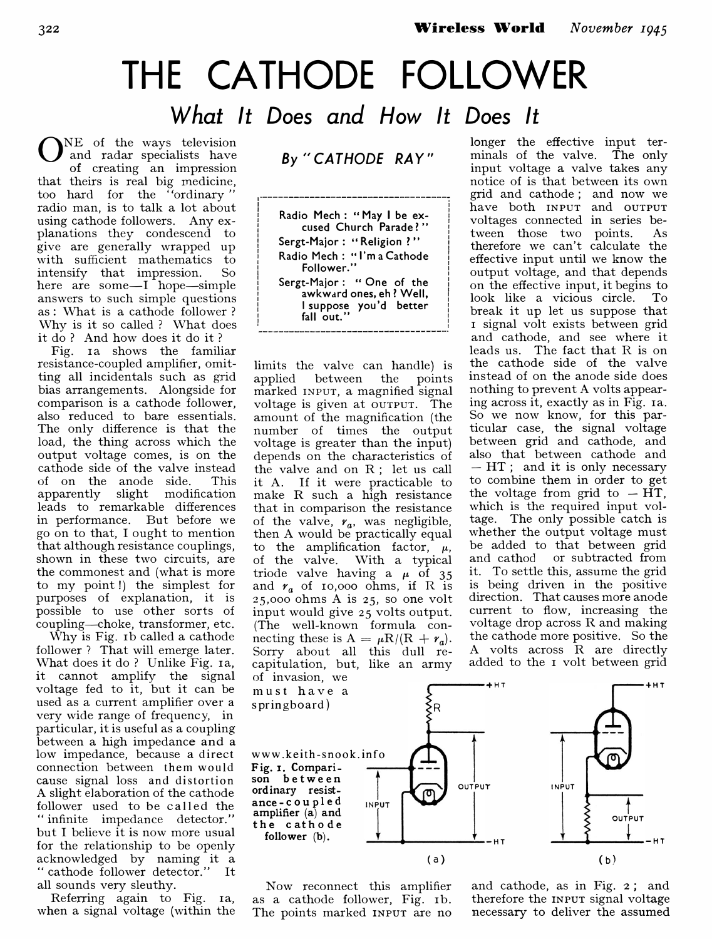# THE CATHODE FOLLOWER What It Does and How It Does It

 $\bm{\cup}$ NE of the ways television and radar specialists have of creating an impression that theirs is real big medicine,<br>too hard for the "ordinary" radio man, is to talk a lot about using cathode followers. Any explanations they condescend to give are generally wrapped up with sufficient mathematics to intensify that impression. So here are some-I hope-simple answers to such simple questions as: What is a cathode follower? Why is it so called? What does it do? And how does it do it ?

Fig. ia shows the familiar resistance-coupled amplifier, omitting all incidentals such as grid bias arrangements. Alongside for comparison is a cathode follower, also reduced to bare essentials. The only difference is that the load, the thing across which the output voltage comes, is on the cathode side of the valve instead of on the anode side. This apparently slight modification leads to remarkable differences in performance. But before we go on to that, I ought to mention that although resistance couplings, shown in these two circuits, are the commonest and (what is more to my point I) the simplest for purposes of explanation, it is possible to use other sorts of coupling-choke, transformer, etc.

Why is Fig. rb called a cathode follower? That will emerge later. What does it do? Unlike Fig. ra, it cannot amplify the signal voltage fed to it, but it can be used as a current amplifier over a very wide range of frequency, in particular, it is useful as a coupling between a high impedance and a low impedance, because a direct connection between them would cause signal loss and dis tortion A slight elaboration of the cathode follower used to be called the "infinite impedance detector." but I believe it is now more usual for the relationship to be openly acknowledged by naming it a "cathode follower detector." It all sounds very sleuthy.

Referring again to Fig. ra, when a signal voltage (within the By "CATHODE RAY"

1-------------------------------------;

 $\mathbf{I}$  is a set of the set of the set of the set of the set of the set of the set of the set of the set of the set of the set of the set of the set of the set of the set of the set of the set of the set of the set of th Radio Mech: "May I be excused Church Parade?' Sergt-Major: "Religion ?" Radio Mech: "I'm a Cathode<br>Follower."  $\begin{bmatrix} 1 & 1 & 1 \\ 1 & 1 & 1 \end{bmatrix}$  Follower."  $\begin{bmatrix} 1 & 1 & 1 \\ 1 & 1 & 1 \end{bmatrix}$ i Sergt-Major: " One of the i awkward ones, eh? Well, I suppose you'd better fall out." , I am a choice and in the contract of the contract of the contract of the contract of the contract of the con

limits the valve can handle) is applied between the points marked INPUT, a magnified signal voltage is given at OUTPUT. The amount of the magnification (the number of times the output voltage is greater than the input) depends on the characteristics of the valve and on R; let us call it A. If it were practicable to make R such a high resistance that in comparison the resistance of the valve,  $r_a$ , was negligible, then A would be practically equal to the amplification factor,  $\mu$ , of the valve. With a typical triode valve having a  $\mu$  of 35 and  $r_a$  of 10,000 ohms, if R is 25,000 ohms A is 25, so one volt input would give 25 volts output. (The well-known formula connecting these is  $A = \mu R/(R + r_a)$ . Sorry about all this dull recapitulation, but, like an army of invasion, we

longer the effective input terminals of the valve. The only input voltage a valve takes any notice of is that between its own grid and cathode; and now we have both INPUT and OUTPUT voltages connected in series between those two points. As therefore we can't calculate the effective input until we know the output voltage, and that depends on the effective input, it begins to look like a vicious circle. To break it up let us suppose that I signal volt exists between grid and cathode, and see where it leads us. The fact that R is on the cathode side of the valve instead of on the anode side does nothing to prevent A volts appearing across it, exactly as in Fig. 1a. So we now know, for this particular case, the signal voltage between grid and cathode, and also that between cathode and - HT; and it is only necessary to combine them in order to get the voltage from grid to  $- HT$ , which is the required input voltage. The only possible catch is whether the output voltage must be added to that between grid and cathod or subtracted from it. To settle this, assume the grid is being driven in the positive direction. That causes more anode current to flow, increasing the voltage drop across R and making the cathode more positive. So the A volts across R are directly added to the I volt between grid



Now reconnect this amplifier as a cathode follower, Fig. 1b. The points marked INPUT are no and cathode, as in Fig. 2; and therefore the INPUT signal voltage necessary to deliver the assumed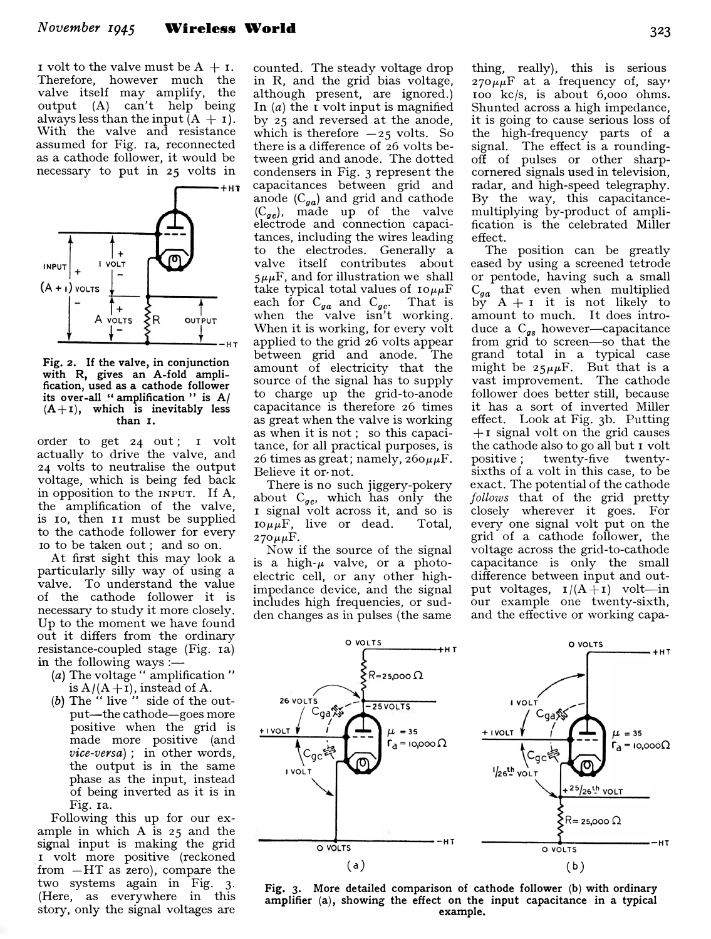I volt to the valve must be  $A + I$ . Therefore, however much the valve itself may amplify, the output (A) can't help being always less than the input  $(A + I)$ . With the valve and resistance assumed for Fig. 1a, reconnected as a cathode follower, it would be necessary to put in 25 volts in



Fig. 2. If the valve, in conjunction with R, gives an A-fold amplification, used as a cathode follower its over-all " amplification " is A/  $(A+1)$ , which is inevitably less than I.

order to get 24 out; I volt actually to drive the valve, and 24 volts to neutralise the output voltage, which is being fed back in opposition to the INPUT. If A, the amplification of the valve, is 10, then 11 must be supplied to the cathode follower for every IQ to be taken out; and so on.

At first sight this may look a particularly silly way of using a valve. To understand the value of the cathode follower it is necessary to study it more closely. Up to the moment we have found out it differs from the ordinary resistance-coupled stage (Fig. 1a) in the following ways :-

- (a) The voltage " amplification" is  $A/(A+I)$ , instead of A.
- (b) The  $\ddot{ }$  live" side of the output-the cathode-goes more positive when the grid is made more positive (and vice-versa); in other words, the output is in the same phase as the input, instead of being inverted as it is in Fig. ra.

Following this up for our example in which A is 25 and the signal input is making the grid I volt more positive (reckoned from -HT as zero), compare the two systems again in Fig. 3. (Here, as everywhere in this story, only the signal voltages are

counted. The steady voltage drop in R, and the grid bias voltage, although present, are ignored.) In  $(a)$  the  $\bar{I}$  volt input is magnified by 25 and reversed at the anode, which is therefore  $-25$  volts. So there is a difference of 26 volts between grid and anode. The dotted condensers in Fig. 3 represent the capacitances between grid and anode  $(C_{ga})$  and grid and cathode  $(C_{ge})$ , made up of the valve electrode and connection capacitances, including the wires leading to the electrodes. Generally a valve itself contributes about  $5\mu\mu$ F, and for illustration we shall take typical total values of  $I_0 \mu \mu$ F each for  $C_{qa}$  and  $C_{qc}$ . That is when the valve isn't working. When it is working, for every volt applied to the grid 26 volts appear between grid and anode. The amount of electricity that the source of the signal has to supply to charge up the grid-to-anode capacitance is therefore 26 times as great when the valve is working as when it is not; so this capacitance, for all practical purposes, is 26 times as great; namely,  $260 \mu \mu$ F. Believe it or· not.

There is no such jiggery-pokery about  $C_{ac}$ , which has only the I signal volt across it, and so is  $I0\mu\mu F$ , live or dead. Total,  $270\mu\mu F$ .

Now if the source of the signal is a high- $\mu$  valve, or a photoelectric cell, or any other highimpedance device, and the signal includes high frequencies, or sudden changes as in pulses (the same

thing, really), this is serious  $270 \mu \mu F$  at a frequency of, say' 100 kc/s, is about 6,000 ohms. Shunted across a high impedance, it is going to cause serious loss of the high-frequency parts of a signal. The effect is a roundingoff of pulses or other sharpcornered signals used in television, radar, and high-speed telegraphy. By the way, this capacitancemultiplying by-product of amplification is the celebrated Miller effect.

The position can be greatly eased by using a screened tetrode or pentode, having such a small  $C_{ga}$  that even when multiplied by  $A + I$  it is not likely to amount to much. It does introduce a  $C_{gs}$  however-capacitance from grid to screen-so that the grand total in a typical case might be  $25\mu\mu\text{F}$ . But that is a vast improvement. The cathode follower does better still, because it has a sort of inverted Miller effect. Look at Fig. 3b. Putting  $+1$  signal volt on the grid causes the cathode also to go all but I volt positive; twenty-five twentysixths of a volt in this case, to be exact. The potential of the cathode follows that of the grid pretty closely wherever it goes. For every one signal volt put on the grid of a cathode follower, the voltage across the grid-to-cathode capacitance is only the small difference between input and output voltages,  $I/(A+I)$  volt—in our example one twenty-sixth, and the effective or working capa-



Fig. 3. More detailed comparison of cathode follower (b) with ordinary amplifier (a), showing the effect on the input capacitance in a typical example.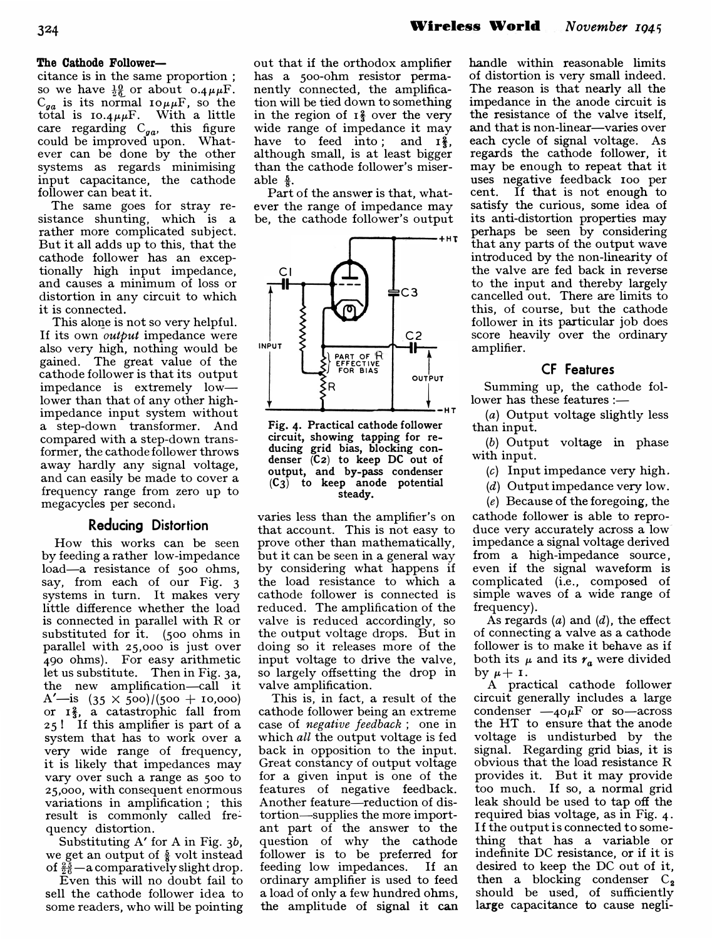#### The Cathode Follower-

citance is in the same proportion; so we have  $\frac{10}{26}$  or about 0.4 $\mu\mu$ F.  $C_{ga}$  is its normal  $I \circ \mu \mu F$ , so the total is  $10.4\mu\mu$ F. With a little care regarding  $C_{ga}$ , this figure could be improved upon. Whatever can be done by the other systems as regards minimising input capacitance, the cathode follower can beat it.

The same goes for stray resistance shunting, which is a rather more complicated subject. But it all adds up to this, that the cathode follower has an exceptionally high input impedance, and causes a minimum of loss or distortion in any circuit to which it is connected.

This alone is not so very helpful. If its own *output* impedance were also very high, nothing would be gained. The great value of the cathode follower is that its output impedance is extremely lowlower than that of any other highimpedance input system without a step-down transformer. And compared with a step-down transformer, the cathode follower throws away hardly any signal voltage, and can easily be made to cover a frequency range from zero up to megacycles per second.

### Reducing Distortion

How this works can be seen by feeding a rather low-impedance load-a resistance of 500 ohms, say, from each of our Fig. 3 systems in turn. It makes very little difference whether the load is connected in parallel with R or substituted for it. (500 ohms in parallel with 25,000 is just over 490 ohms). For easy arithmetic let us substitute. Then in Fig. 3a, the new amplification-call it A'—is  $(35 \times 500)/(500 + 10,000)$ or  $I_3^2$ , a catastrophic fall from 25 1 If this amplifier is part of a system that has to work over a very wide range of frequency, it is likely that impedances may vary over such a range as 500 to 25,000, with consequent enormous variations in amplification; this result is commonly called frequency distortion.

Substituting A' for A in Fig. 3b, we get an output of  $\frac{5}{8}$  volt instead of  $\frac{25}{26}$  - a comparatively slight drop.

Even this will no doubt fail to sell the cathode follower idea to some readers, who will be pointing

out that if the orthodox amplifier has a 500-ohm resistor permanently connected, the amplification will be tied down to something in the region of  $I_3^2$  over the very wide range of impedance it may have to feed into; and  $\mathbb{I}^2$ , although small, is at least bigger than the cathode follower's miserable  $\frac{5}{8}$ .

Part of the answer is that, whatever the range of impedance may be, the cathode follower's output



Fig. 4. Practical cathode follower circuit, showing tapping for reducing grid bias, blocking condenser (C2) to keep DC out of output, and by-pass condenser  $(C_3)$  to keep anode potential steady.

varies less than the amplifier's on that account. This is not easy to prove other than mathematically, but it can be seen in a general way by considering what happens if the load resistance to which a cathode follower is connected is reduced. The amplification of the valve is reduced accordingly, so the output voltage drops. But in doing so it releases more of the input voltage to drive the valve, so largely offsetting the drop in valve amplification.

This is, in fact, a result of the cathode follower being an extreme case of negative feedback; one in which all the output voltage is fed back in opposition to the input. Great constancy of output voltage for a given input is one of the features of negative feedback. Another feature-reduction of distortion-supplies the more important part of the answer to the question of why the cathode follower is to be preferred for feeding low impedances. If an ordinary amplifier is used to feed a load of only a few hundred ohms, the amplitude of signal it can

handle within reasonable limits of distortion is very small indeed. The reason is that nearly all the impedance in the anode circuit is the resistance of the valve itself, and that is non-linear-varies over each cycle of signal voltage. As regards the cathode follower, it may be enough to repeat that it uses negative feedback 100 per cent. If that is not enough to satisfy the curious, some idea of its anti-distortion properties may perhaps be seen by considering that any parts of the output wave introduced by the non-linearity of the valve are fed back in reverse to the input and thereby largely cancelled out. There are limits to this, of course, but the cathode follower in its particular job does score heavily over the ordinary amplifier.

## CF Features

Summing up, the cathode follower has these features :-

(a) Output voltage slightly less than input.

(b) Output voltage in phase with input.

(c) Input impedance very high.

(d) Output impedance very low.

 $(e)$  Because of the foregoing, the

cathode follower is able to reproduce very accurately across a lowimpedance a signal voltage derived from a high-impedance source, even if the signal waveform is complicated (i.e., composed of simple waves of a wide range of frequency).

As regards  $(a)$  and  $(d)$ , the effect of connecting a valve as a cathode follower is to make it behave as if both its  $\mu$  and its  $r_a$  were divided by  $\mu + i$ .

A practical cathode follower circuit generally includes a large condenser  $-i\omega_F$  or so-across the HT to ensure that the anode voltage is undisturbed by the signal. Regarding grid bias, it is obvious that the load resistance R provides it. But it may provide too much. If so, a normal grid leak should be used to tap off the required bias voltage, as in Fig. 4. If the output is connected to something that has a variable or indefinite DC resistance, or if it is desired to keep the DC out of it, then a blocking condenser  $C_2$ should be used, of sufficiently large capacitance to cause negli